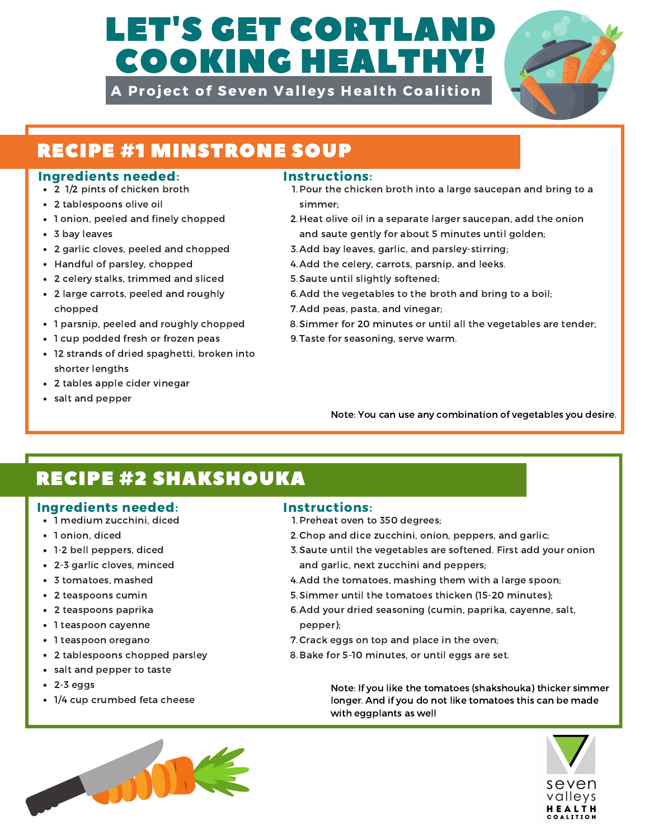# LET'S GET CORTLA COOKING HEALTHY!

A Project of Seven Valleys Health Coalition



## RECIPE #1 MINSTRONE SOUP

### Ingredients needed: Instructions:

- 2 1/2 pints of chicken broth
- 2 tablespoons olive oil
- 1 onion, peeled and finely chopped
- 3 bay leaves
- 2 garlic cloves, peeled and chopped
- Handful of parsley, chopped
- 2 celery stalks, trimmed and sliced
- 2 large carrots, peeled and roughly chopped
- 1 parsnip, peeled and roughly chopped
- 1 cup podded fresh or frozen peas
- 12 strands of dried spaghetti, broken into shorter lengths
- 2 tables apple cider vinegar
- salt and pepper

- 1. Pour the chicken broth into a large saucepan and bring to a simmer;
- 2. Heat olive oil in a separate larger saucepan, add the onion and saute gently for about 5 minutes until golden;
- 3. Add bay leaves, garlic, and parsley-stirring;
- 4. Add the celery, carrots, parsnip, and leeks.
- 5. Saute until slightly softened;
- 6. Add the vegetables to the broth and bring to a boil;
- 7. Add peas, pasta, and vinegar;
- Simmer for 20 minutes or until all the vegetables are tender; 8.
- 9. Taste for seasoning, serve warm.

Note: You can use any combination of vegetables you desire.

# RECIPE #2 SHAKSHOUKA

### Ingredients needed: Instructions:

- 1 medium zucchini, diced
- 1 onion, diced
- 1-2 bell peppers, diced
- 2-3 garlic cloves, minced
- 3 tomatoes, mashed
- 2 teaspoons cumin
- 2 teaspoons paprika
- 1 teaspoon cayenne
- 1 teaspoon oregano
- 2 tablespoons chopped parsley
- salt and pepper to taste
- $\cdot$  2-3 eggs
- 1/4 cup crumbed feta cheese

- 1. Preheat oven to 350 degrees;
- 2. Chop and dice zucchini, onion, peppers, and garlic;
- 3. Saute until the vegetables are softened. First add your onion and garlic, next zucchini and peppers;
- 4. Add the tomatoes, mashing them with a large spoon;
- Simmer until the tomatoes thicken (15-20 minutes); 5.
- 6. Add your dried seasoning (cumin, paprika, cayenne, salt, pepper);
- 7. Crack eggs on top and place in the oven;
- 8. Bake for 5-10 minutes, or until eggs are set.

Note: If you like the tomatoes (shakshouka) thicker simmer longer. And if you do not like tomatoes this can be made with eggplants as well



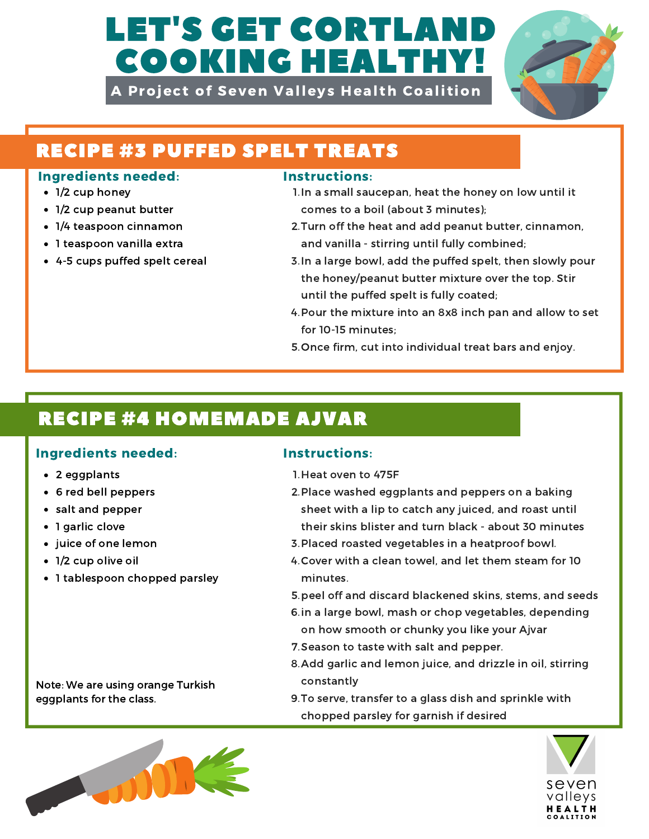# LET'S GET CORTLAND COOKING HEALTHY!

A Project of Seven Valleys Health Coalition



# RECIPE #3 PUFFED SPELT TREATS

### Ingredients needed: Instructions:

- 1/2 cup honey
- 1/2 cup peanut butter
- 1/4 teaspoon cinnamon
- 1 teaspoon vanilla extra
- 4-5 cups puffed spelt cereal

- 1. In a small saucepan, heat the honey on low until it comes to a boil (about 3 minutes);
- 2. Turn off the heat and add peanut butter, cinnamon, and vanilla - stirring until fully combined;
- 3. In a large bowl, add the puffed spelt, then slowly pour the honey/peanut butter mixture over the top. Stir until the puffed spelt is fully coated;
- 4. Pour the mixture into an 8x8 inch pan and allow to set for 10-15 minutes;
- 5. Once firm, cut into individual treat bars and enjoy.

# RECIPE #4 HOMEMADE AJVAR

## Ingredients needed: Instructions:

- 2 eggplants
- 6 red bell peppers
- salt and pepper
- 1 garlic clove
- juice of one lemon
- 1/2 cup olive oil
- 1 tablespoon chopped parsley

### Note: We are using orange Turkish eggplants for the class.

- 1. Heat oven to 475F
- 2. Place washed eggplants and peppers on a baking sheet with a lip to catch any juiced, and roast until their skins blister and turn black - about 30 minutes
- 3. Placed roasted vegetables in a heatproof bowl.
- 4. Cover with a clean towel, and let them steam for 10 minutes.
- 5. peel off and discard blackened skins, stems, and seeds
- 6. in a large bowl, mash or chop vegetables, depending
- on how smooth or chunky you like your Ajvar
- 7. Season to taste with salt and pepper.
- 8. Add garlic and lemon juice, and drizzle in oil, stirring constantly
- 9. To serve, transfer to a glass dish and sprinkle with chopped parsley for garnish if desired